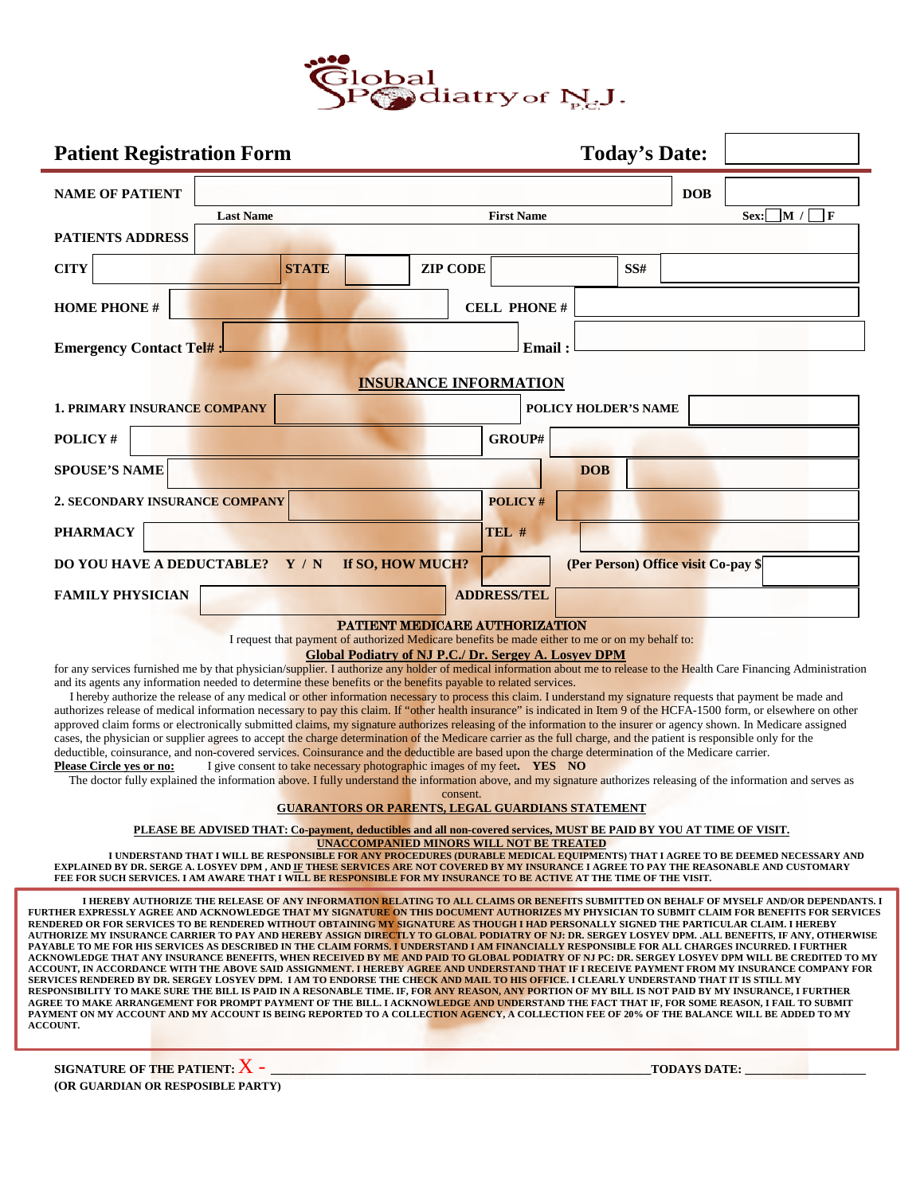

| <b>Patient Registration Form</b>                                                                                                                                                                                                                                                                                                                                                                                                                                                                                                                                                                                                                                                                                                                                                                                                                                                                                                                                                                                                                                                                                                                                                                                                                                                                                                                                                                                                                                                                                 |                  |                                                                                                                                                                                                                                                                                                           |  |                              |                   |                             |     | <b>Today's Date:</b>                |      |                            |
|------------------------------------------------------------------------------------------------------------------------------------------------------------------------------------------------------------------------------------------------------------------------------------------------------------------------------------------------------------------------------------------------------------------------------------------------------------------------------------------------------------------------------------------------------------------------------------------------------------------------------------------------------------------------------------------------------------------------------------------------------------------------------------------------------------------------------------------------------------------------------------------------------------------------------------------------------------------------------------------------------------------------------------------------------------------------------------------------------------------------------------------------------------------------------------------------------------------------------------------------------------------------------------------------------------------------------------------------------------------------------------------------------------------------------------------------------------------------------------------------------------------|------------------|-----------------------------------------------------------------------------------------------------------------------------------------------------------------------------------------------------------------------------------------------------------------------------------------------------------|--|------------------------------|-------------------|-----------------------------|-----|-------------------------------------|------|----------------------------|
| <b>NAME OF PATIENT</b>                                                                                                                                                                                                                                                                                                                                                                                                                                                                                                                                                                                                                                                                                                                                                                                                                                                                                                                                                                                                                                                                                                                                                                                                                                                                                                                                                                                                                                                                                           |                  |                                                                                                                                                                                                                                                                                                           |  |                              |                   |                             |     | <b>DOB</b>                          |      |                            |
| PATIENTS ADDRESS                                                                                                                                                                                                                                                                                                                                                                                                                                                                                                                                                                                                                                                                                                                                                                                                                                                                                                                                                                                                                                                                                                                                                                                                                                                                                                                                                                                                                                                                                                 | <b>Last Name</b> |                                                                                                                                                                                                                                                                                                           |  |                              | <b>First Name</b> |                             |     |                                     | Sex: | $\Box$ F<br>$\mathbf{M}$ / |
| <b>CITY</b>                                                                                                                                                                                                                                                                                                                                                                                                                                                                                                                                                                                                                                                                                                                                                                                                                                                                                                                                                                                                                                                                                                                                                                                                                                                                                                                                                                                                                                                                                                      |                  | <b>STATE</b>                                                                                                                                                                                                                                                                                              |  | <b>ZIP CODE</b>              |                   |                             | SS# |                                     |      |                            |
| <b>HOME PHONE #</b>                                                                                                                                                                                                                                                                                                                                                                                                                                                                                                                                                                                                                                                                                                                                                                                                                                                                                                                                                                                                                                                                                                                                                                                                                                                                                                                                                                                                                                                                                              |                  |                                                                                                                                                                                                                                                                                                           |  | <b>CELL PHONE#</b>           |                   |                             |     |                                     |      |                            |
| <b>Emergency Contact Tel#</b>                                                                                                                                                                                                                                                                                                                                                                                                                                                                                                                                                                                                                                                                                                                                                                                                                                                                                                                                                                                                                                                                                                                                                                                                                                                                                                                                                                                                                                                                                    |                  |                                                                                                                                                                                                                                                                                                           |  |                              | Email:            |                             |     |                                     |      |                            |
|                                                                                                                                                                                                                                                                                                                                                                                                                                                                                                                                                                                                                                                                                                                                                                                                                                                                                                                                                                                                                                                                                                                                                                                                                                                                                                                                                                                                                                                                                                                  |                  |                                                                                                                                                                                                                                                                                                           |  | <b>INSURANCE INFORMATION</b> |                   |                             |     |                                     |      |                            |
| <b>1. PRIMARY INSURANCE COMPANY</b>                                                                                                                                                                                                                                                                                                                                                                                                                                                                                                                                                                                                                                                                                                                                                                                                                                                                                                                                                                                                                                                                                                                                                                                                                                                                                                                                                                                                                                                                              |                  |                                                                                                                                                                                                                                                                                                           |  |                              |                   | <b>POLICY HOLDER'S NAME</b> |     |                                     |      |                            |
| POLICY#                                                                                                                                                                                                                                                                                                                                                                                                                                                                                                                                                                                                                                                                                                                                                                                                                                                                                                                                                                                                                                                                                                                                                                                                                                                                                                                                                                                                                                                                                                          |                  |                                                                                                                                                                                                                                                                                                           |  |                              | GROUP#            |                             |     |                                     |      |                            |
| <b>SPOUSE'S NAME</b>                                                                                                                                                                                                                                                                                                                                                                                                                                                                                                                                                                                                                                                                                                                                                                                                                                                                                                                                                                                                                                                                                                                                                                                                                                                                                                                                                                                                                                                                                             |                  |                                                                                                                                                                                                                                                                                                           |  |                              |                   | <b>DOB</b>                  |     |                                     |      |                            |
| <b>2. SECONDARY INSURANCE COMPANY</b>                                                                                                                                                                                                                                                                                                                                                                                                                                                                                                                                                                                                                                                                                                                                                                                                                                                                                                                                                                                                                                                                                                                                                                                                                                                                                                                                                                                                                                                                            |                  |                                                                                                                                                                                                                                                                                                           |  |                              | <b>POLICY#</b>    |                             |     |                                     |      |                            |
| <b>PHARMACY</b>                                                                                                                                                                                                                                                                                                                                                                                                                                                                                                                                                                                                                                                                                                                                                                                                                                                                                                                                                                                                                                                                                                                                                                                                                                                                                                                                                                                                                                                                                                  |                  |                                                                                                                                                                                                                                                                                                           |  | TEL #                        |                   |                             |     |                                     |      |                            |
| DO YOU HAVE A DEDUCTABLE? Y / N                                                                                                                                                                                                                                                                                                                                                                                                                                                                                                                                                                                                                                                                                                                                                                                                                                                                                                                                                                                                                                                                                                                                                                                                                                                                                                                                                                                                                                                                                  |                  | If SO, HOW MUCH?                                                                                                                                                                                                                                                                                          |  |                              |                   |                             |     | (Per Person) Office visit Co-pay \$ |      |                            |
| <b>FAMILY PHYSICIAN</b>                                                                                                                                                                                                                                                                                                                                                                                                                                                                                                                                                                                                                                                                                                                                                                                                                                                                                                                                                                                                                                                                                                                                                                                                                                                                                                                                                                                                                                                                                          |                  |                                                                                                                                                                                                                                                                                                           |  | <b>ADDRESS/TEL</b>           |                   |                             |     |                                     |      |                            |
|                                                                                                                                                                                                                                                                                                                                                                                                                                                                                                                                                                                                                                                                                                                                                                                                                                                                                                                                                                                                                                                                                                                                                                                                                                                                                                                                                                                                                                                                                                                  |                  | PATTENT MEDICARE AUTHORIZATION<br>I request that payment of authorized Medicare benefits be made either to me or on my behalf to:                                                                                                                                                                         |  |                              |                   |                             |     |                                     |      |                            |
| for any services furnished me by that physician/supplier. I authorize any holder of medical information about me to release to the Health Care Financing Administration<br>and its agents any information needed to determine these benefits or the benefits payable to related services.<br>I hereby authorize the release of any medical or other information necessary to process this claim. I understand my signature requests that payment be made and<br>authorizes release of medical information necessary to pay this claim. If "other health insurance" is indicated in Item 9 of the HCFA-1500 form, or elsewhere on other<br>approved claim forms or electronically submitted claims, my signature authorizes releasing of the information to the insurer or agency shown. In Medicare assigned<br>cases, the physician or supplier agrees to accept the charge determination of the Medicare carrier as the full charge, and the patient is responsible only for the<br>deductible, coinsurance, and non-covered services. Coinsurance and the deductible are based upon the charge determination of the Medicare carrier.<br>Please Circle yes or no:<br>The doctor fully explained the information above. I fully understand the information above, and my signature authorizes releasing of the information and serves as                                                                                                                                                                       |                  | <b>Global Podiatry of NJ P.C./ Dr. Sergey A. Losyev DPM</b><br>I give consent to take necessary photographic images of my feet. YES NO                                                                                                                                                                    |  | consent.                     |                   |                             |     |                                     |      |                            |
|                                                                                                                                                                                                                                                                                                                                                                                                                                                                                                                                                                                                                                                                                                                                                                                                                                                                                                                                                                                                                                                                                                                                                                                                                                                                                                                                                                                                                                                                                                                  |                  | <b>GUARANTORS OR PARENTS, LEGAL GUARDIANS STATEMENT</b>                                                                                                                                                                                                                                                   |  |                              |                   |                             |     |                                     |      |                            |
| EXPLAINED BY DR. SERGE A. LOSYEV DPM , AND IF THESE SERVICES ARE NOT COVERED BY MY INSURANCE I AGREE TO PAY THE REASONABLE AND CUSTOMARY<br>FEE FOR SUCH SERVICES. I AM AWARE THAT I WILL BE RESPONSIBLE FOR MY INSURANCE TO BE ACTIVE AT THE TIME OF THE VISIT.                                                                                                                                                                                                                                                                                                                                                                                                                                                                                                                                                                                                                                                                                                                                                                                                                                                                                                                                                                                                                                                                                                                                                                                                                                                 |                  | PLEASE BE ADVISED THAT: Co-payment, deductibles and all non-covered services, MUST BE PAID BY YOU AT TIME OF VISIT.<br><b>UNACCOMPANIED MINORS WILL NOT BE TREATED</b><br>I UNDERSTAND THAT I WILL BE RESPONSIBLE FOR ANY PROCEDURES (DURABLE MEDICAL EQUIPMENTS) THAT I AGREE TO BE DEEMED NECESSARY AND |  |                              |                   |                             |     |                                     |      |                            |
| FURTHER EXPRESSLY AGREE AND ACKNOWLEDGE THAT MY SIGNATURE ON THIS DOCUMENT AUTHORIZES MY PHYSICIAN TO SUBMIT CLAIM FOR BENEFITS FOR SERVICES<br>RENDERED OR FOR SERVICES TO BE RENDERED WITHOUT OBTAINING MY SIGNATURE AS THOUGH I HAD PERSONALLY SIGNED THE PARTICULAR CLAIM. I HEREBY<br>AUTHORIZE MY INSURANCE CARRIER TO PAY AND HEREBY ASSIGN DIRECTLY TO GLOBAL PODIATRY OF NJ: DR. SERGEY LOSYEV DPM. .ALL BENEFITS, IF ANY, OTHERWISE<br>PAYABLE TO ME FOR HIS SERVICES AS DESCRIBED IN THE CLAIM FORMS. I UNDERSTAND I AM FINANCIALLY RESPONSIBLE FOR ALL CHARGES INCURRED. I FURTHER<br>ACKNOWLEDGE THAT ANY INSURANCE BENEFITS, WHEN RECEIVED BY ME AND PAID TO GLOBAL PODIATRY OF NJ PC: DR. SERGEY LOSYEV DPM WILL BE CREDITED TO MY<br>ACCOUNT, IN ACCORDANCE WITH THE ABOVE SAID ASSIGNMENT. I HEREBY AGREE AND UNDERSTAND THAT IF I RECEIVE PAYMENT FROM MY INSURANCE COMPANY FOR<br>SERVICES RENDERED BY DR. SERGEY LOSYEV DPM. I AM TO ENDORSE THE CHECK AND MAIL TO HIS OFFICE. I CLEARLY UNDERSTAND THAT IT IS STILL MY<br>RESPONSIBILITY TO MAKE SURE THE BILL IS PAID IN A RESONABLE TIME. IF, FOR ANY REASON, ANY PORTION OF MY BILL IS NOT PAID BY MY INSURANCE, I FURTHER<br>AGREE TO MAKE ARRANGEMENT FOR PROMPT PAYMENT OF THE BILL. I ACKNOWLEDGE AND UNDERSTAND THE FACT THAT IF, FOR SOME REASON, I FAIL TO SUBMIT<br>PAYMENT ON MY ACCOUNT AND MY ACCOUNT IS BEING REPORTED TO A COLLECTION AGENCY, A COLLECTION FEE OF 20% OF THE BALANCE WILL BE ADDED TO MY<br><b>ACCOUNT.</b> |                  | I HEREBY AUTHORIZE THE RELEASE OF ANY INFORMATION RELATING TO ALL CLAIMS OR BENEFITS SUBMITTED ON BEHALF OF MYSELF AND/OR DEPENDANTS. I                                                                                                                                                                   |  |                              |                   |                             |     |                                     |      |                            |

**SIGNATURE OF THE PATIENT:**X - **\_\_\_\_\_\_\_\_\_\_\_\_\_\_\_\_\_\_\_\_\_\_\_\_\_\_\_\_\_\_\_\_\_\_\_\_\_\_\_\_\_\_\_\_\_\_\_\_\_\_\_\_\_\_\_\_\_\_\_\_\_\_\_TODAYS DATE: \_\_\_\_\_\_\_\_\_\_\_\_\_\_\_\_\_\_\_\_ (OR GUARDIAN OR RESPOSIBLE PARTY)**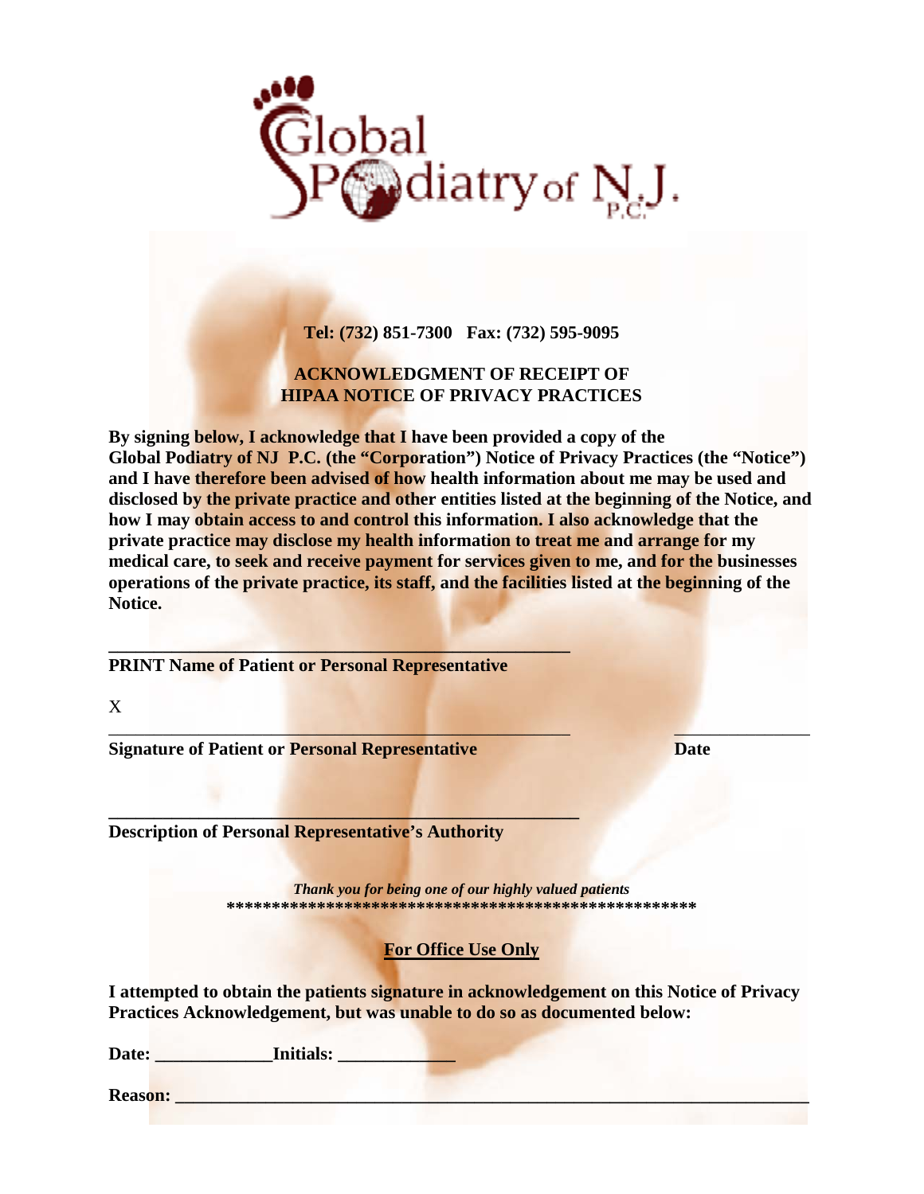

**Tel: (732) 851-7300 Fax: (732) 595-9095**

# **ACKNOWLEDGMENT OF RECEIPT OF HIPAA NOTICE OF PRIVACY PRACTICES**

**By signing below, I acknowledge that I have been provided a copy of the**  Global Podiatry of NJ P.C. (the "Corporation") Notice of Privacy Practices (the "Notice") **and I have therefore been advised of how health information about me may be used and disclosed by the private practice and other entities listed at the beginning of the Notice, and how I may obtain access to and control this information. I also acknowledge that the private practice may disclose my health information to treat me and arrange for my medical care, to seek and receive payment for services given to me, and for the businesses operations of the private practice, its staff, and the facilities listed at the beginning of the Notice.**

**PRINT Name of Patient or Personal Representative**

**\_\_\_\_\_\_\_\_\_\_\_\_\_\_\_\_\_\_\_\_\_\_\_\_\_\_\_\_\_\_\_\_\_\_\_\_\_\_\_\_\_\_\_\_\_\_\_\_\_\_\_**

**\_\_\_\_\_\_\_\_\_\_\_\_\_\_\_\_\_\_\_\_\_\_\_\_\_\_\_\_\_\_\_\_\_\_\_\_\_\_\_\_\_\_\_\_\_\_\_\_\_\_\_\_**

X

**Signature of Patient or Personal Representative Date**

**Description of Personal Representative's Authority**

*Thank you for being one of our highly valued patients* **\*\*\*\*\*\*\*\*\*\*\*\*\*\*\*\*\*\*\*\*\*\*\*\*\*\*\*\*\*\*\*\*\*\*\*\*\*\*\*\*\*\*\*\*\*\*\*\*\*\*\*\***

\_\_\_\_\_\_\_\_\_\_\_\_\_\_\_\_\_\_\_\_\_\_\_\_\_\_\_\_\_\_\_\_\_\_\_\_\_\_\_\_\_\_\_\_\_\_\_\_\_\_\_ \_\_\_\_\_\_\_\_\_\_\_\_\_\_\_

# **For Office Use Only**

**I attempted to obtain the patients signature in acknowledgement on this Notice of Privacy Practices Acknowledgement, but was unable to do so as documented below:**

Date: **Initials:** 

**Reason: \_\_\_\_\_\_\_\_\_\_\_\_\_\_\_\_\_\_\_\_\_\_\_\_\_\_\_\_\_\_\_\_\_\_\_\_\_\_\_\_\_\_\_\_\_\_\_\_\_\_\_\_\_\_\_\_\_\_\_\_\_\_\_\_\_\_\_\_\_\_**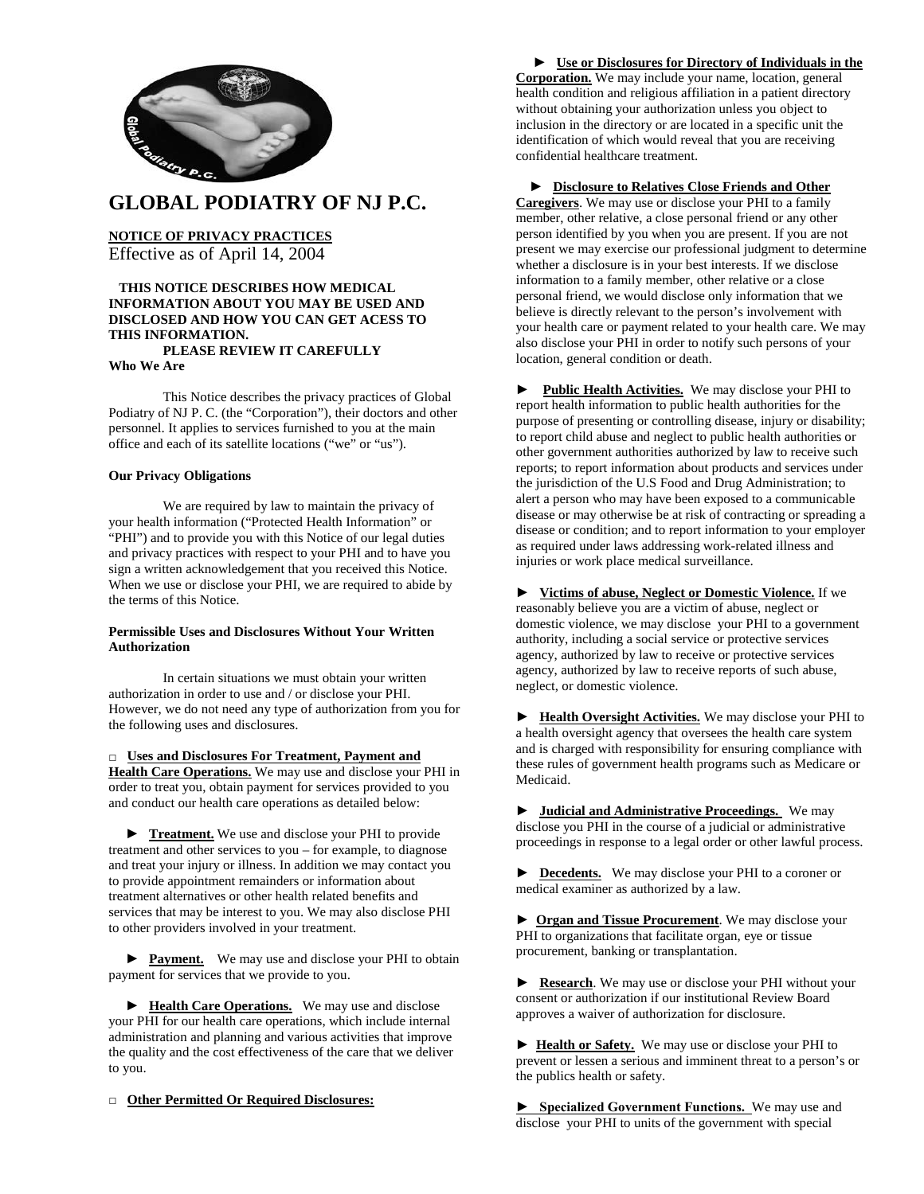

**GLOBAL PODIATRY OF NJ P.C.**

**NOTICE OF PRIVACY PRACTICES** Effective as of April 14, 2004

## **THIS NOTICE DESCRIBES HOW MEDICAL INFORMATION ABOUT YOU MAY BE USED AND DISCLOSED AND HOW YOU CAN GET ACESS TO THIS INFORMATION.**

# **PLEASE REVIEW IT CAREFULLY**

**Who We Are**

This Notice describes the privacy practices of Global Podiatry of NJ P. C. (the "Corporation"), their doctors and other personnel. It applies to services furnished to you at the main office and each of its satellite locations ("we" or "us").

#### **Our Privacy Obligations**

We are required by law to maintain the privacy of your health information ("Protected Health Information" or "PHI") and to provide you with this Notice of our legal duties and privacy practices with respect to your PHI and to have you sign a written acknowledgement that you received this Notice. When we use or disclose your PHI, we are required to abide by the terms of this Notice.

#### **Permissible Uses and Disclosures Without Your Written Authorization**

In certain situations we must obtain your written authorization in order to use and / or disclose your PHI. However, we do not need any type of authorization from you for the following uses and disclosures.

**□ Uses and Disclosures For Treatment, Payment and Health Care Operations.** We may use and disclose your PHI in order to treat you, obtain payment for services provided to you and conduct our health care operations as detailed below:

▶ **Treatment.** We use and disclose your PHI to provide treatment and other services to you – for example, to diagnose and treat your injury or illness. In addition we may contact you to provide appointment remainders or information about treatment alternatives or other health related benefits and services that may be interest to you. We may also disclose PHI to other providers involved in your treatment.

► **Payment.** We may use and disclose your PHI to obtain payment for services that we provide to you.

▶ **Health Care Operations.** We may use and disclose your PHI for our health care operations, which include internal administration and planning and various activities that improve the quality and the cost effectiveness of the care that we deliver to you.

**□ Other Permitted Or Required Disclosures:**

 **► Use or Disclosures for Directory of Individuals in the Corporation.** We may include your name, location, general health condition and religious affiliation in a patient directory without obtaining your authorization unless you object to inclusion in the directory or are located in a specific unit the identification of which would reveal that you are receiving confidential healthcare treatment.

### ► **Disclosure to Relatives Close Friends and Other**

**Caregivers**. We may use or disclose your PHI to a family member, other relative, a close personal friend or any other person identified by you when you are present. If you are not present we may exercise our professional judgment to determine whether a disclosure is in your best interests. If we disclose information to a family member, other relative or a close personal friend, we would disclose only information that we believe is directly relevant to the person's involvement with your health care or payment related to your health care. We may also disclose your PHI in order to notify such persons of your location, general condition or death.

**► Public Health Activities.** We may disclose your PHI to report health information to public health authorities for the purpose of presenting or controlling disease, injury or disability; to report child abuse and neglect to public health authorities or other government authorities authorized by law to receive such reports; to report information about products and services under the jurisdiction of the U.S Food and Drug Administration; to alert a person who may have been exposed to a communicable disease or may otherwise be at risk of contracting or spreading a disease or condition; and to report information to your employer as required under laws addressing work-related illness and injuries or work place medical surveillance.

► **Victims of abuse, Neglect or Domestic Violence.** If we reasonably believe you are a victim of abuse, neglect or domestic violence, we may disclose your PHI to a government authority, including a social service or protective services agency, authorized by law to receive or protective services agency, authorized by law to receive reports of such abuse, neglect, or domestic violence.

► **Health Oversight Activities.** We may disclose your PHI to a health oversight agency that oversees the health care system and is charged with responsibility for ensuring compliance with these rules of government health programs such as Medicare or Medicaid.

► **Judicial and Administrative Proceedings.** We may disclose you PHI in the course of a judicial or administrative proceedings in response to a legal order or other lawful process.

► **Decedents.** We may disclose your PHI to a coroner or medical examiner as authorized by a law.

► **Organ and Tissue Procurement**. We may disclose your PHI to organizations that facilitate organ, eye or tissue procurement, banking or transplantation.

► **Research**. We may use or disclose your PHI without your consent or authorization if our institutional Review Board approves a waiver of authorization for disclosure.

► **Health or Safety.** We may use or disclose your PHI to prevent or lessen a serious and imminent threat to a person's or the publics health or safety.

**► Specialized Government Functions.** We may use and disclose your PHI to units of the government with special